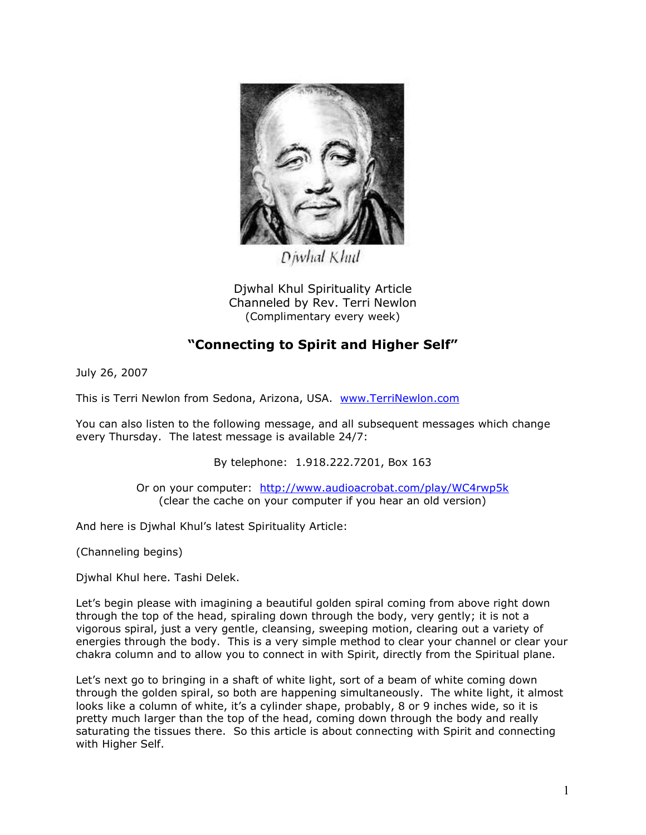

Diwhal Khul

Djwhal Khul Spirituality Article Channeled by Rev. Terri Newlon (Complimentary every week)

## **"Connecting to Spirit and Higher Self"**

July 26, 2007

This is Terri Newlon from Sedona, Arizona, USA. [www.TerriNewlon.com](http://www.terrinewlon.com/)

You can also listen to the following message, and all subsequent messages which change every Thursday. The latest message is available 24/7:

By telephone: 1.918.222.7201, Box 163

Or on your computer: <http://www.audioacrobat.com/play/WC4rwp5k> (clear the cache on your computer if you hear an old version)

And here is Djwhal Khul's latest Spirituality Article:

(Channeling begins)

Djwhal Khul here. Tashi Delek.

Let's begin please with imagining a beautiful golden spiral coming from above right down through the top of the head, spiraling down through the body, very gently; it is not a vigorous spiral, just a very gentle, cleansing, sweeping motion, clearing out a variety of energies through the body. This is a very simple method to clear your channel or clear your chakra column and to allow you to connect in with Spirit, directly from the Spiritual plane.

Let's next go to bringing in a shaft of white light, sort of a beam of white coming down through the golden spiral, so both are happening simultaneously. The white light, it almost looks like a column of white, it's a cylinder shape, probably, 8 or 9 inches wide, so it is pretty much larger than the top of the head, coming down through the body and really saturating the tissues there. So this article is about connecting with Spirit and connecting with Higher Self.